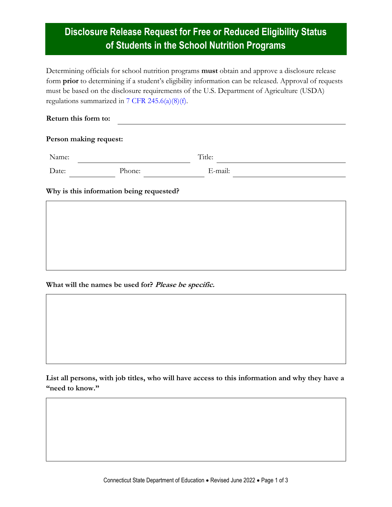# **Disclosure Release Request for Free or Reduced Eligibility Status of Students in the School Nutrition Programs**

Determining officials for school nutrition programs **must** obtain and approve a disclosure release form **prior** to determining if a student's eligibility information can be released. Approval of requests must be based on the disclosure requirements of the U.S. Department of Agriculture (USDA) regulations summarized in  $7$  CFR 245.6(a)(8)(f).

#### **Return this form to:**

#### **Person making request:**

| Name: |        | Title:  |  |
|-------|--------|---------|--|
| Date: | Phone: | E-mail: |  |

**Why is this information being requested?**

**What will the names be used for? Please be specific.**

**List all persons, with job titles, who will have access to this information and why they have a "need to know."**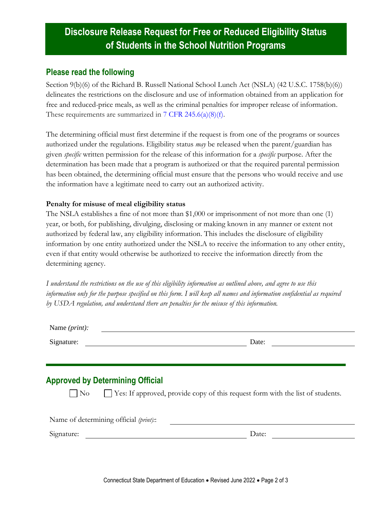# **Disclosure Release Request for Free or Reduced Eligibility Status of Students in the School Nutrition Programs**

### **Please read the following**

Section 9(b)(6) of the Richard B. Russell National School Lunch Act (NSLA) (42 U.S.C. 1758(b)(6)) delineates the restrictions on the disclosure and use of information obtained from an application for free and reduced-price meals, as well as the criminal penalties for improper release of information. These requirements are summarized in [7 CFR 245.6\(a\)\(8\)\(f\).](https://www.ecfr.gov/cgi-bin/text-idx?SID=4c211a738d6109939c6054a6286ac109&mc=true&node=pt7.4.245&rgn=div5#se7.4.245_16)

The determining official must first determine if the request is from one of the programs or sources authorized under the regulations. Eligibility status *may* be released when the parent/guardian has given *specific* written permission for the release of this information for a *specific* purpose. After the determination has been made that a program is authorized or that the required parental permission has been obtained, the determining official must ensure that the persons who would receive and use the information have a legitimate need to carry out an authorized activity.

### **Penalty for misuse of meal eligibility status**

The NSLA establishes a fine of not more than \$1,000 or imprisonment of not more than one (1) year, or both, for publishing, divulging, disclosing or making known in any manner or extent not authorized by federal law, any eligibility information. This includes the disclosure of eligibility information by one entity authorized under the NSLA to receive the information to any other entity, even if that entity would otherwise be authorized to receive the information directly from the determining agency.

*I understand the restrictions on the use of this eligibility information as outlined above, and agree to use this information only for the purpose specified on this form. I will keep all names and information confidential as required by USDA regulation, and understand there are penalties for the misuse of this information.*

| Name ( <i>print</i> ): |       |
|------------------------|-------|
| Signature:             | Date: |

### **Approved by Determining Official**

 $\nabla$  No  $\nabla$  Yes: If approved, provide copy of this request form with the list of students.

Name of determining official *(print):*:

Signature: Date: